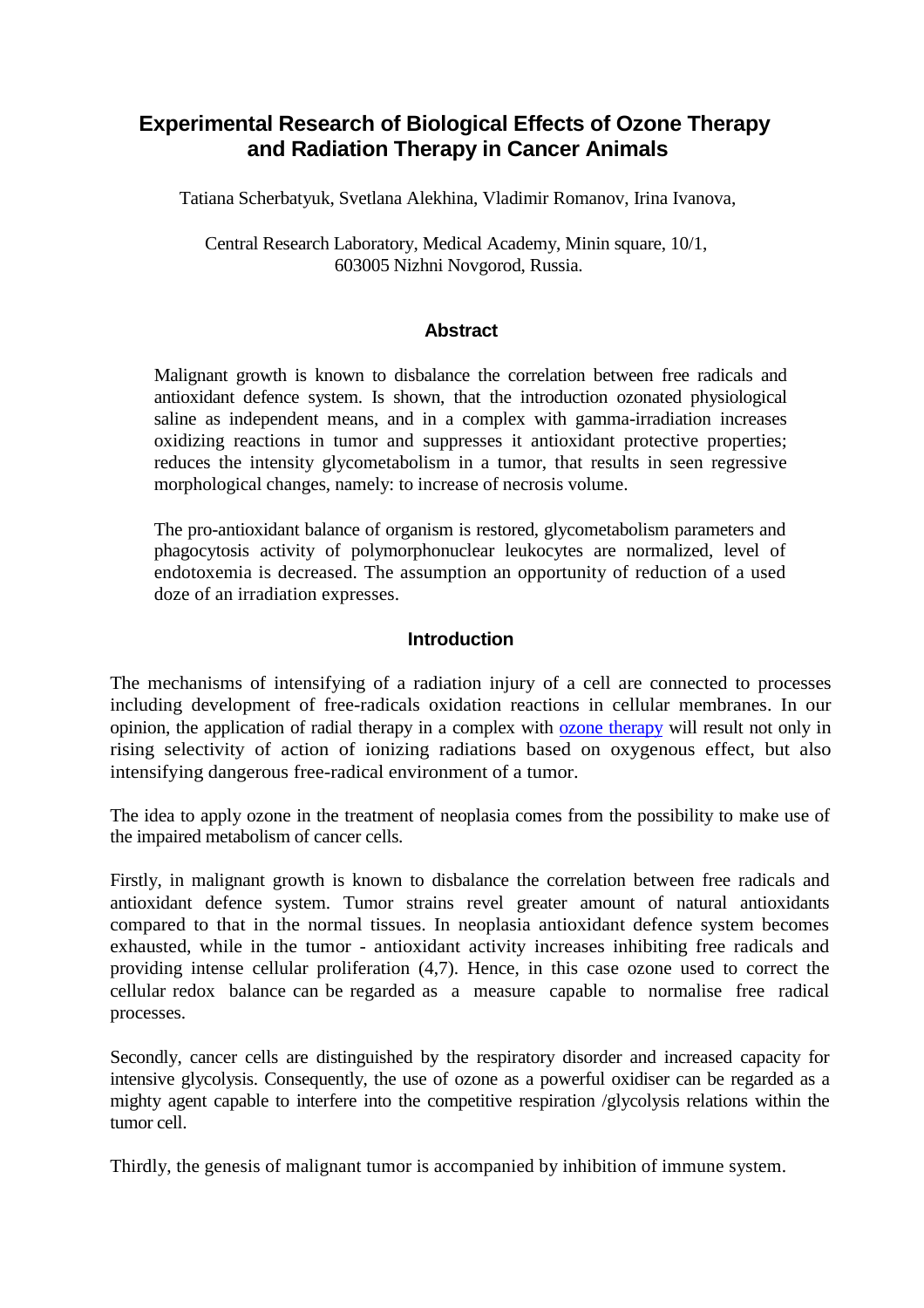# **Experimental Research of Biological Effects of Ozone Therapy and Radiation Therapy in Cancer Animals**

Tatiana Scherbatyuk, Svetlana Alekhina, Vladimir Romanov, Irina Ivanova,

Central Research Laboratory, Medical Academy, Minin square, 10/1, 603005 Nizhni Novgorod, Russia.

# **Abstract**

Malignant growth is known to disbalance the correlation between free radicals and antioxidant defence system. Is shown, that the introduction ozonated physiological saline as independent means, and in a complex with gamma-irradiation increases oxidizing reactions in tumor and suppresses it antioxidant protective properties; reduces the intensity glycometabolism in a tumor, that results in seen regressive morphological changes, namely: to increase of necrosis volume.

The pro-antioxidant balance of organism is restored, glycometabolism parameters and phagocytosis activity of polymorphonuclear leukocytes are normalized, level of endotoxemia is decreased. The assumption an opportunity of reduction of a used doze of an irradiation expresses.

## **Introduction**

The mechanisms of intensifying of a radiation injury of a cell are connected to processes including development of free-radicals oxidation reactions in cellular membranes. In our opinion, the application of radial therapy in a complex with [ozone therapy](http://www.ozonemachine.org/) will result not only in rising selectivity of action of ionizing radiations based on oxygenous effect, but also intensifying dangerous free-radical environment of a tumor.

The idea to apply ozone in the treatment of neoplasia comes from the possibility to make use of the impaired metabolism of cancer cells.

Firstly, in malignant growth is known to disbalance the correlation between free radicals and antioxidant defence system. Tumor strains revel greater amount of natural antioxidants compared to that in the normal tissues. In neoplasia antioxidant defence system becomes exhausted, while in the tumor - antioxidant activity increases inhibiting free radicals and providing intense cellular proliferation (4,7). Hence, in this case ozone used to correct the cellular redox balance can be regarded as a measure capable to normalise free radical processes.

Secondly, cancer cells are distinguished by the respiratory disorder and increased capacity for intensive glycolysis. Consequently, the use of ozone as a powerful oxidiser can be regarded as a mighty agent capable to interfere into the competitive respiration /glycolysis relations within the tumor cell.

Thirdly, the genesis of malignant tumor is accompanied by inhibition of immune system.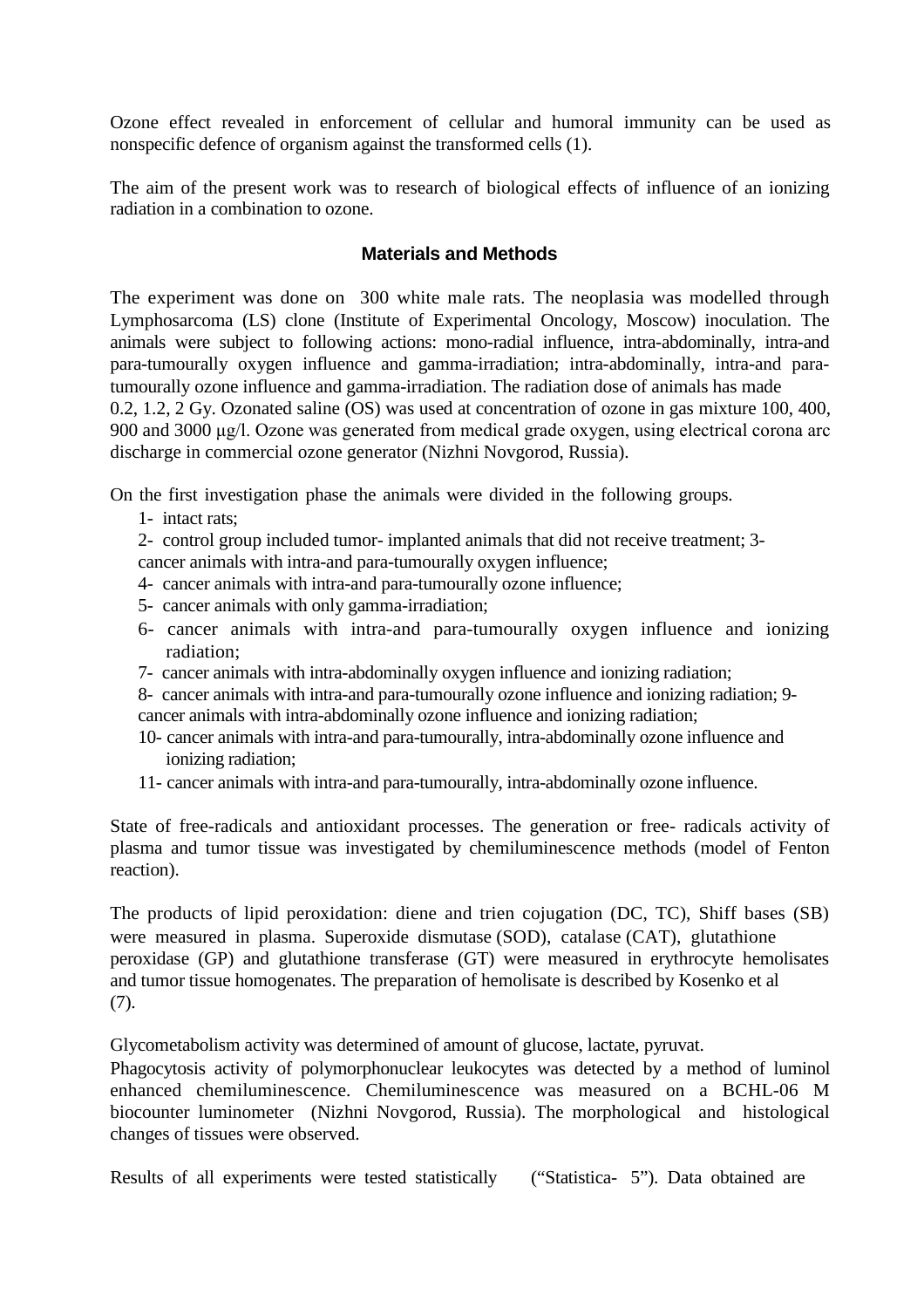Ozone effect revealed in enforcement of cellular and humoral immunity can be used as nonspecific defence of organism against the transformed cells (1).

The aim of the present work was to research of biological effects of influence of an ionizing radiation in a combination to ozone.

### **Materials and Methods**

The experiment was done on 300 white male rats. The neoplasia was modelled through Lymphosarcoma (LS) clone (Institute of Experimental Oncology, Moscow) inoculation. The animals were subject to following actions: mono-radial influence, intra-abdominally, intra-and para-tumourally oxygen influence and gamma-irradiation; intra-abdominally, intra-and paratumourally ozone influence and gamma-irradiation. The radiation dose of animals has made 0.2, 1.2, 2 Gy. Ozonated saline (OS) was used at concentration of ozone in gas mixture 100, 400, 900 and 3000 μg/l. Ozone was generated from medical grade oxygen, using electrical corona arc discharge in commercial ozone generator (Nizhni Novgorod, Russia).

On the first investigation phase the animals were divided in the following groups.

- 1- intact rats;
- 2- control group included tumor- implanted animals that did not receive treatment; 3-

cancer animals with intra-and para-tumourally oxygen influence;

- 4- cancer animals with intra-and para-tumourally ozone influence;
- 5- cancer animals with only gamma-irradiation;
- 6- cancer animals with intra-and para-tumourally oxygen influence and ionizing radiation;
- 7- cancer animals with intra-abdominally oxygen influence and ionizing radiation;

8- cancer animals with intra-and para-tumourally ozone influence and ionizing radiation; 9 cancer animals with intra-abdominally ozone influence and ionizing radiation;

- 10- cancer animals with intra-and para-tumourally, intra-abdominally ozone influence and ionizing radiation;
- 11- cancer animals with intra-and para-tumourally, intra-abdominally ozone influence.

State of free-radicals and antioxidant processes. The generation or free- radicals activity of plasma and tumor tissue was investigated by chemiluminescence methods (model of Fenton reaction).

The products of lipid peroxidation: diene and trien cojugation (DC, TC), Shiff bases (SB) were measured in plasma. Superoxide dismutase (SOD), catalase (CAT), glutathione peroxidase (GP) and glutathione transferase (GT) were measured in erythrocyte hemolisates and tumor tissue homogenates. The preparation of hemolisate is described by Kosenko et al (7).

Glycometabolism activity was determined of amount of glucose, lactate, pyruvat.

Phagocytosis activity of polymorphonuclear leukocytes was detected by a method of luminol enhanced chemiluminescence. Chemiluminescence was measured on a BCHL-06 M biocounter luminometer (Nizhni Novgorod, Russia). The morphological and histological changes of tissues were observed.

Results of all experiments were tested statistically ("Statistica- 5"). Data obtained are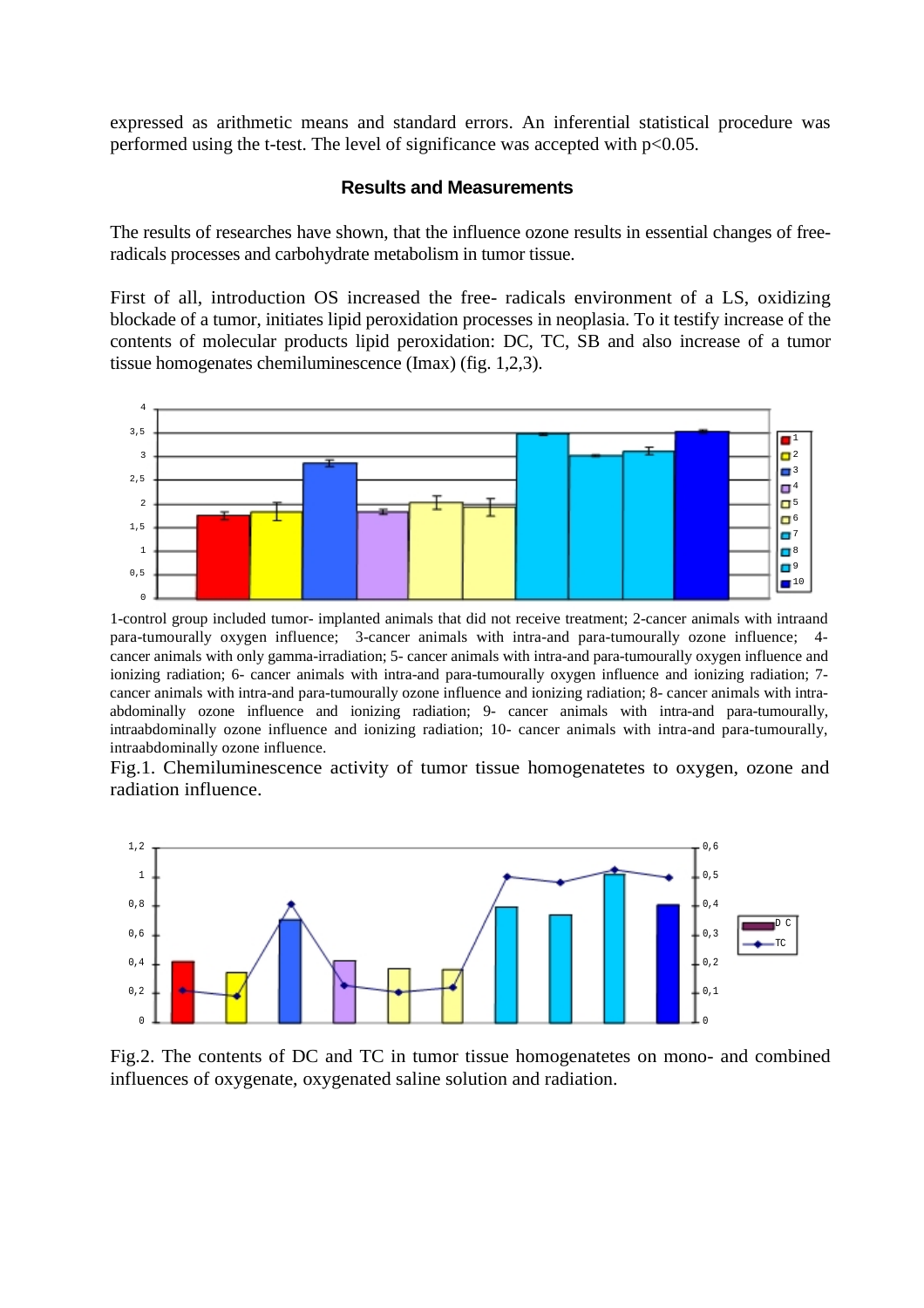expressed as arithmetic means and standard errors. An inferential statistical procedure was performed using the t-test. The level of significance was accepted with  $p<0.05$ .

#### **Results and Measurements**

The results of researches have shown, that the influence ozone results in essential changes of freeradicals processes and carbohydrate metabolism in tumor tissue.

First of all, introduction OS increased the free- radicals environment of a LS, oxidizing blockade of a tumor, initiates lipid peroxidation processes in neoplasia. To it testify increase of the contents of molecular products lipid peroxidation: DC, TC, SB and also increase of a tumor tissue homogenates chemiluminescence (Imax) (fig. 1,2,3).



1-control group included tumor- implanted animals that did not receive treatment; 2-cancer animals with intraand para-tumourally oxygen influence; 3-cancer animals with intra-and para-tumourally ozone influence; 4 cancer animals with only gamma-irradiation; 5- cancer animals with intra-and para-tumourally oxygen influence and ionizing radiation; 6- cancer animals with intra-and para-tumourally oxygen influence and ionizing radiation; 7cancer animals with intra-and para-tumourally ozone influence and ionizing radiation; 8- cancer animals with intraabdominally ozone influence and ionizing radiation; 9- cancer animals with intra-and para-tumourally, intraabdominally ozone influence and ionizing radiation; 10- cancer animals with intra-and para-tumourally, intraabdominally ozone influence.

Fig.1. Chemiluminescence activity of tumor tissue homogenatetes to oxygen, ozone and radiation influence.



Fig.2. The contents of DC and TC in tumor tissue homogenatetes on mono- and combined influences of oxygenate, oxygenated saline solution and radiation.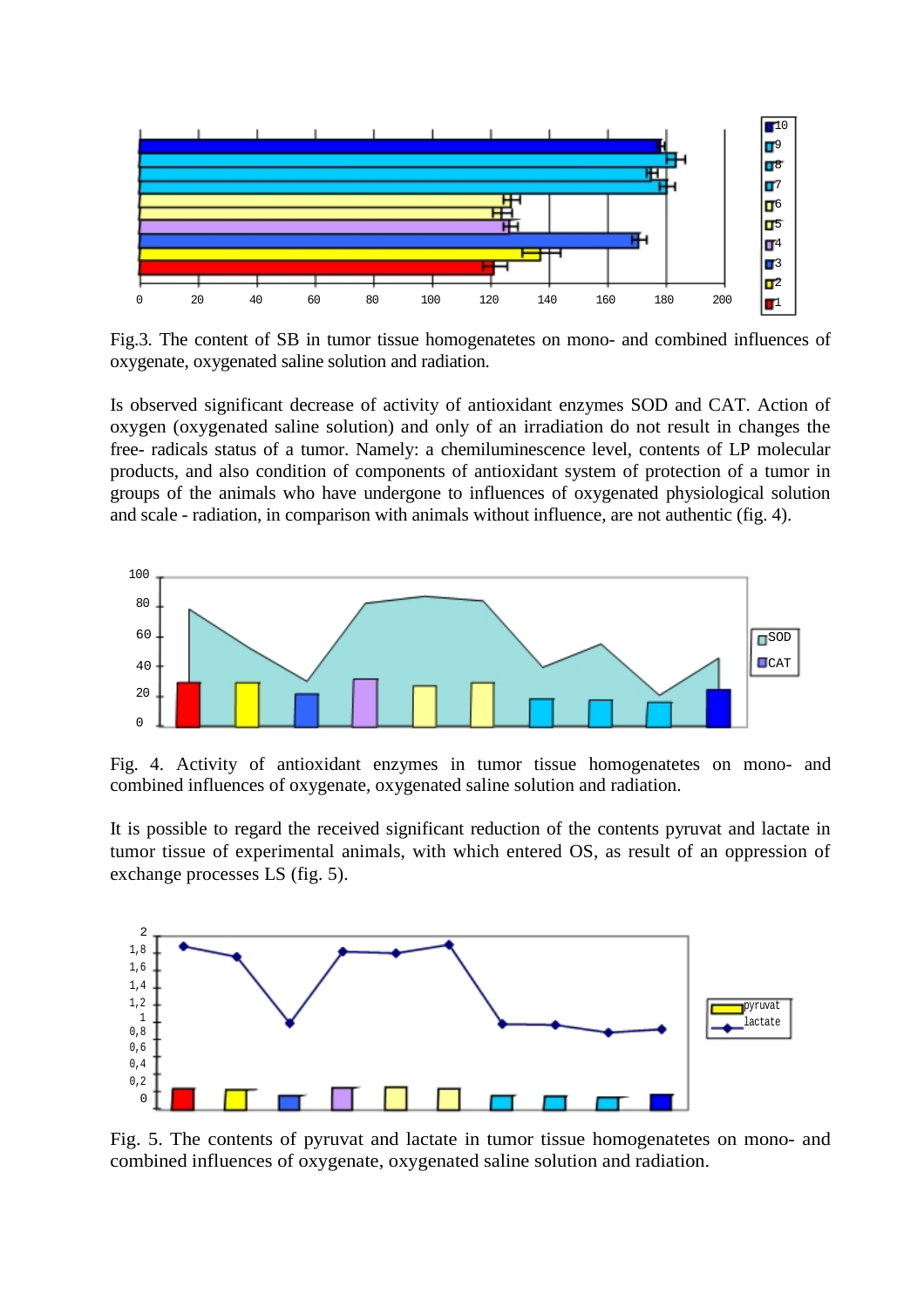

Fig.3. The content of SB in tumor tissue homogenatetes on mono- and combined influences of oxygenate, oxygenated saline solution and radiation.

Is observed significant decrease of activity of antioxidant enzymes SOD and CAT. Action of oxygen (oxygenated saline solution) and only of an irradiation do not result in changes the free- radicals status of a tumor. Namely: a chemiluminescence level, contents of LP molecular products, and also condition of components of antioxidant system of protection of a tumor in groups of the animals who have undergone to influences of oxygenated physiological solution and scale - radiation, in comparison with animals without influence, are not authentic (fig. 4).



Fig. 4. Activity of antioxidant enzymes in tumor tissue homogenatetes on mono- and combined influences of oxygenate, oxygenated saline solution and radiation.

It is possible to regard the received significant reduction of the contents pyruvat and lactate in tumor tissue of experimental animals, with which entered OS, as result of an oppression of exchange processes LS (fig. 5).



Fig. 5. The contents of pyruvat and lactate in tumor tissue homogenatetes on mono- and combined influences of oxygenate, oxygenated saline solution and radiation.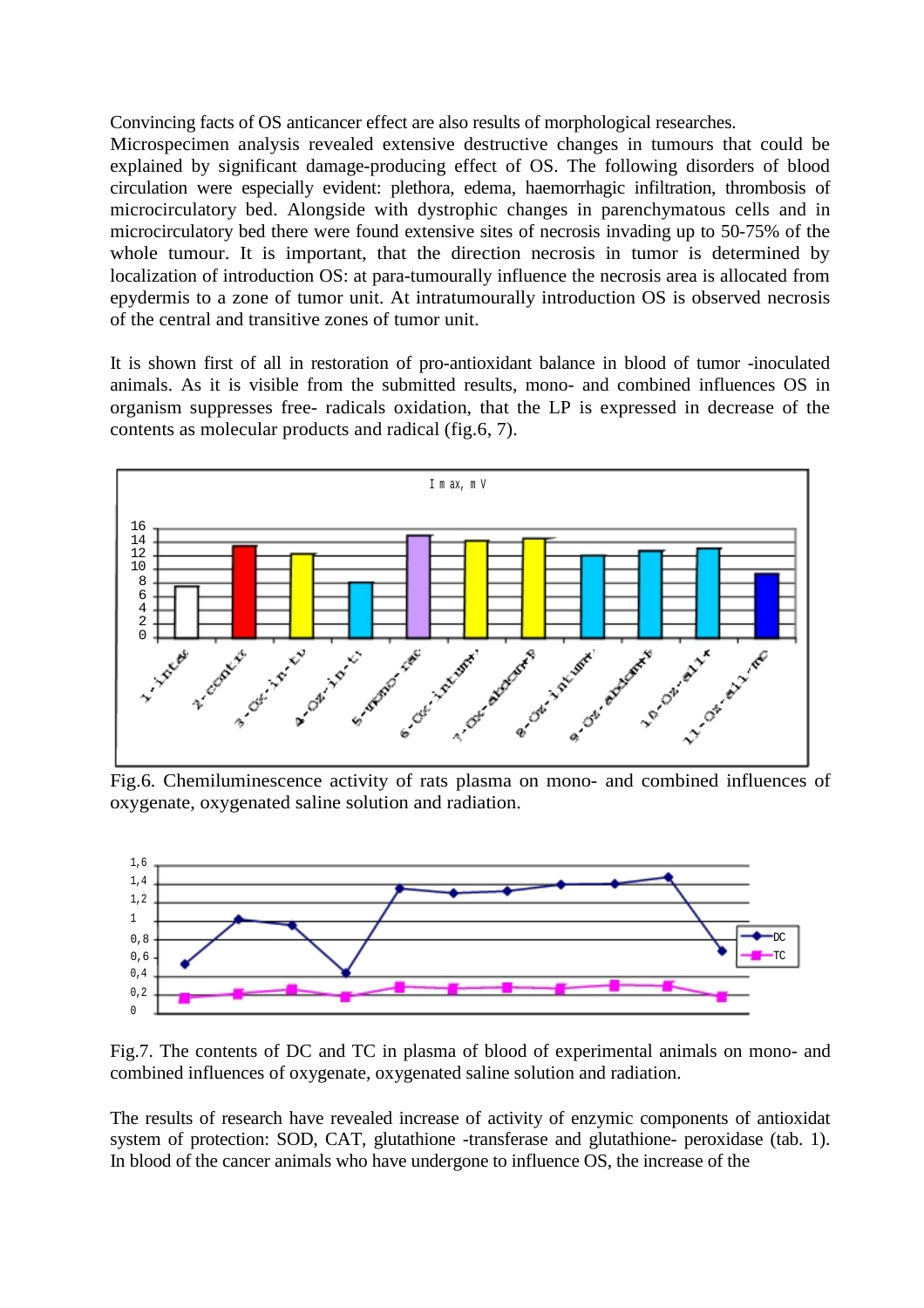Convincing facts of OS anticancer effect are also results of morphological researches.

Microspecimen analysis revealed extensive destructive changes in tumours that could be explained by significant damage-producing effect of OS. The following disorders of blood circulation were especially evident: plethora, edema, haemorrhagic infiltration, thrombosis of microcirculatory bed. Alongside with dystrophic changes in parenchymatous cells and in microcirculatory bed there were found extensive sites of necrosis invading up to 50-75% of the whole tumour. It is important, that the direction necrosis in tumor is determined by localization of introduction OS: at para-tumourally influence the necrosis area is allocated from epydermis to a zone of tumor unit. At intratumourally introduction OS is observed necrosis of the central and transitive zones of tumor unit.

It is shown first of all in restoration of pro-antioxidant balance in blood of tumor -inoculated animals. As it is visible from the submitted results, mono- and combined influences OS in organism suppresses free- radicals oxidation, that the LP is expressed in decrease of the contents as molecular products and radical (fig.6, 7).



Fig.6. Chemiluminescence activity of rats plasma on mono- and combined influences of oxygenate, oxygenated saline solution and radiation.



Fig.7. The contents of DC and TC in plasma of blood of experimental animals on mono- and combined influences of oxygenate, oxygenated saline solution and radiation.

The results of research have revealed increase of activity of enzymic components of antioxidat system of protection: SOD, CAT, glutathione -transferase and glutathione- peroxidase (tab. 1). In blood of the cancer animals who have undergone to influence OS, the increase of the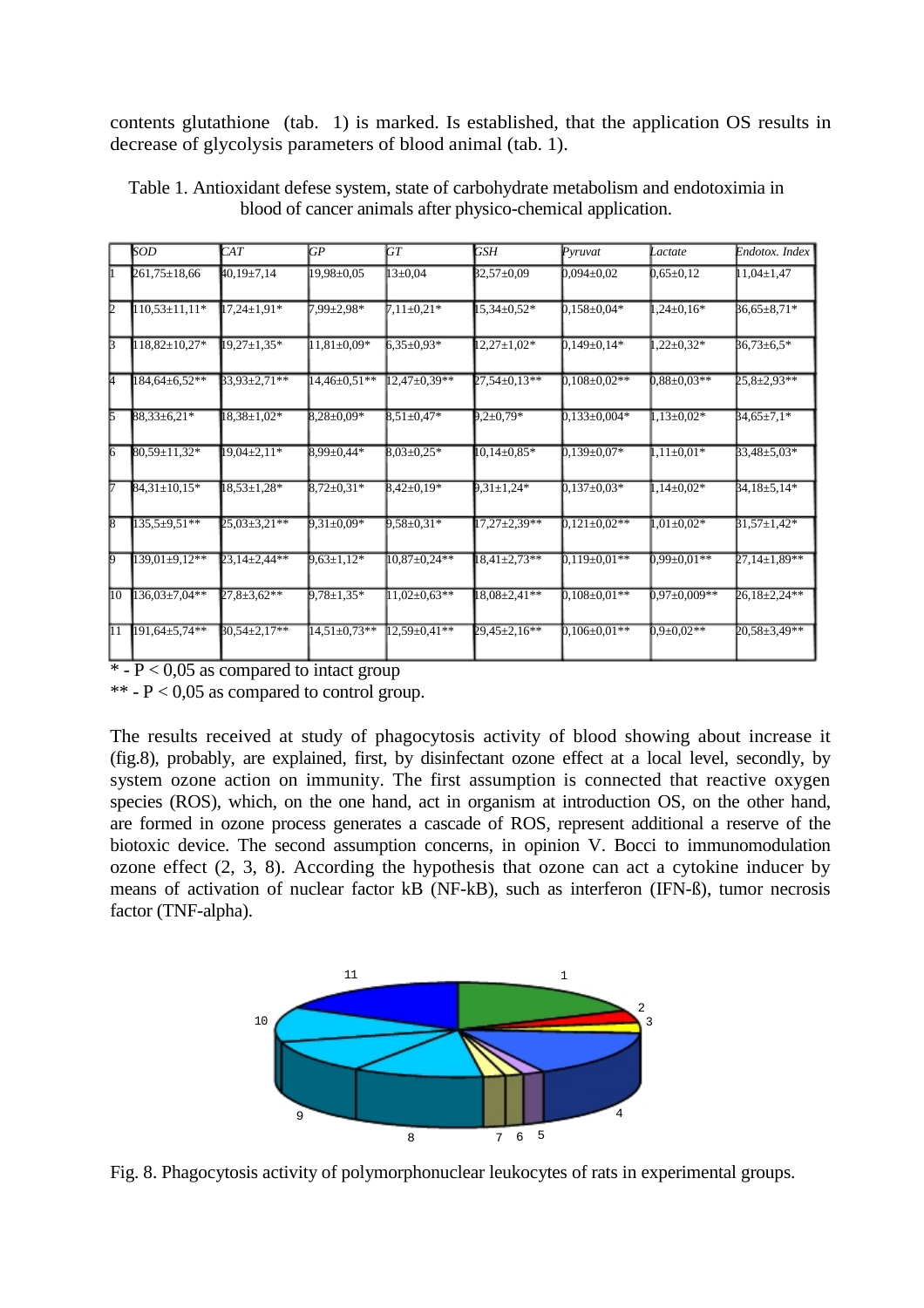contents glutathione (tab. 1) is marked. Is established, that the application OS results in decrease of glycolysis parameters of blood animal (tab. 1).

|                 | SOD                  | CAT                 | GР                 | GT                  | GSH                 | $P$ yruvat          | Lactate            | Endotox. Index     |
|-----------------|----------------------|---------------------|--------------------|---------------------|---------------------|---------------------|--------------------|--------------------|
|                 | 261,75±18,66         | $40,19\pm7,14$      | $19,98 \pm 0.05$   | $13 \pm 0.04$       | $32,57 \pm 0.09$    | $0.094 \pm 0.02$    | $0,65 \pm 0,12$    | $1,04 \pm 1,47$    |
| Þ.              | $110,53 \pm 11,11$ * | $7,24\pm1,91*$      | 7,99±2,98*         | $7,11\pm0,21*$      | $15,34 \pm 0,52*$   | $0,158 \pm 0,04*$   | $24\pm0.16*$       | $66,65 \pm 8,71*$  |
|                 | $18,82 \pm 10,27*$   | $9,27 \pm 1,35*$    | $11,81\pm0,09*$    | $6.35 \pm 0.93*$    | $12,27 \pm 1,02*$   | $0.149 \pm 0.14*$   | $,22\pm0.32*$      | $86,73\pm6,5*$     |
|                 | $184,64\pm 6,52**$   | $33,93 \pm 2,71$ ** | $14,46 \pm 0.51**$ | $12,47\pm0,39**$    | $27,54 \pm 0,13**$  | $0,108 \pm 0,02**$  | $0,88\pm0,03**$    | $25,8 \pm 2,93**$  |
|                 | $88,33\pm 6,21*$     | $18,38 \pm 1,02*$   | $8,28 \pm 0.09*$   | $8,51 \pm 0,47*$    | $0,2\pm 0,79*$      | $0.133 \pm 0.004*$  | $13 \pm 0.02*$     | $84.65 \pm 7.1*$   |
| б               | $80,59 \pm 11,32*$   | $19,04 \pm 2,11*$   | $8.99 \pm 0.44*$   | $8,03\pm0,25*$      | $10,14\pm0,85*$     | $0.139 \pm 0.07*$   | $1.11 \pm 0.01*$   | $83,48 \pm 5,03*$  |
|                 | $84,31 \pm 10,15*$   | $18,53 \pm 1,28*$   | $8,72 \pm 0.31*$   | $8,42\pm0,19*$      | $9,31\pm1,24*$      | $0.137 \pm 0.03*$   | $1.14 \pm 0.02*$   | $84,18 \pm 5,14*$  |
|                 | $135,5+9,51**$       | $25.03 \pm 3.21$ ** | $9.31 \pm 0.09*$   | $9.58 \pm 0.31*$    | $17,27 \pm 2,39**$  | $0.121 \pm 0.02**$  | $1,01\pm0,02*$     | $B1,57 \pm 1,42*$  |
| 9               | $139,01 \pm 9,12**$  | $23,14 \pm 2,44$ ** | $9.63 \pm 1.12*$   | $10,87 \pm 0.24**$  | $18,41\pm2,73**$    | $0.119 \pm 0.01**$  | $0,99 \pm 0,01$ ** | $27.14 \pm 1.89**$ |
| $\overline{10}$ | $136,03\pm7,04**$    | $27,8 \pm 3,62$ **  | $9,78 \pm 1,35*$   | $11,02 \pm 0,63$ ** | $18,08 \pm 2,41**$  | $0.108 \pm 0.01**$  | $0.97 \pm 0.009**$ | $26,18\pm 2,24**$  |
| Π               | 191,64±5,74**        | $80,54\pm 2,17**$   | $14,51\pm0.73**$   | $12,59 \pm 0,41$ ** | $29,45 \pm 2,16$ ** | $0,106 \pm 0,01$ ** | $0.9 \pm 0.02**$   | $20,58 \pm 3,49**$ |

Table 1. Antioxidant defese system, state of carbohydrate metabolism and endotoximia in blood of cancer animals after physico-chemical application.

 $\overline{P}$  - P < 0,05 as compared to intact group

\*\* -  $P < 0.05$  as compared to control group.

The results received at study of phagocytosis activity of blood showing about increase it (fig.8), probably, are explained, first, by disinfectant ozone effect at a local level, secondly, by system ozone action on immunity. The first assumption is connected that reactive oxygen species (ROS), which, on the one hand, act in organism at introduction OS, on the other hand, are formed in ozone process generates a cascade of ROS, represent additional a reserve of the biotoxic device. The second assumption concerns, in opinion V. Bocci to immunomodulation ozone effect (2, 3, 8). According the hypothesis that ozone can act a cytokine inducer by means of activation of nuclear factor kB (NF-kB), such as interferon (IFN-ß), tumor necrosis factor (TNF-alpha).



Fig. 8. Phagocytosis activity of polymorphonuclear leukocytes of rats in experimental groups.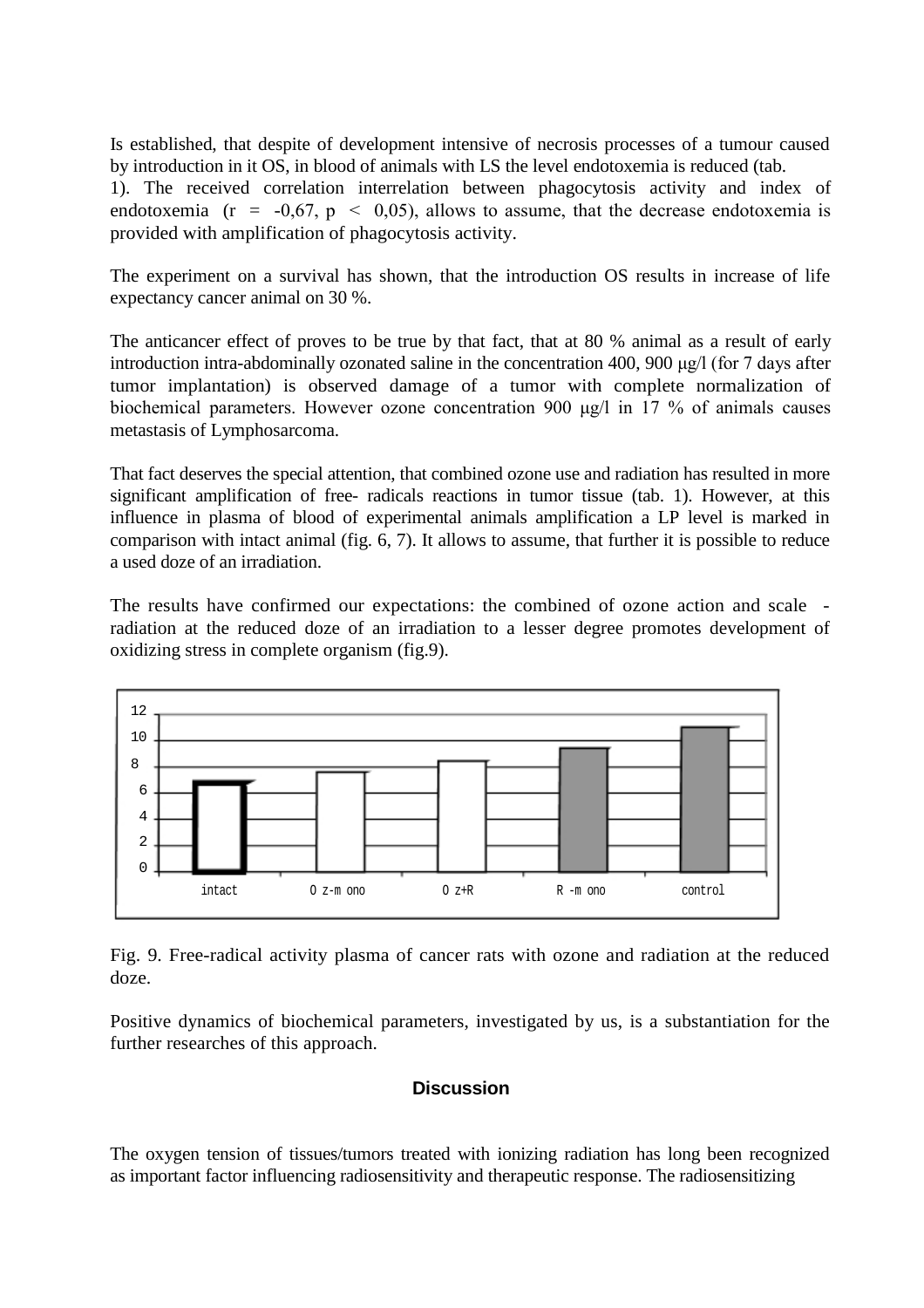Is established, that despite of development intensive of necrosis processes of a tumour caused by introduction in it OS, in blood of animals with LS the level endotoxemia is reduced (tab.

1). The received correlation interrelation between phagocytosis activity and index of endotoxemia ( $r = -0.67$ ,  $p \le 0.05$ ), allows to assume, that the decrease endotoxemia is provided with amplification of phagocytosis activity.

The experiment on a survival has shown, that the introduction OS results in increase of life expectancy cancer animal on 30 %.

The anticancer effect of proves to be true by that fact, that at 80 % animal as a result of early introduction intra-abdominally ozonated saline in the concentration 400, 900 μg/l (for 7 days after tumor implantation) is observed damage of a tumor with complete normalization of biochemical parameters. However ozone concentration 900 μg/l in 17 % of animals causes metastasis of Lymphosarcoma.

That fact deserves the special attention, that combined ozone use and radiation has resulted in more significant amplification of free- radicals reactions in tumor tissue (tab. 1). However, at this influence in plasma of blood of experimental animals amplification a LP level is marked in comparison with intact animal (fig. 6, 7). It allows to assume, that further it is possible to reduce a used doze of an irradiation.

The results have confirmed our expectations: the combined of ozone action and scale radiation at the reduced doze of an irradiation to a lesser degree promotes development of oxidizing stress in complete organism (fig.9).



Fig. 9. Free-radical activity plasma of cancer rats with ozone and radiation at the reduced doze.

Positive dynamics of biochemical parameters, investigated by us, is a substantiation for the further researches of this approach.

# **Discussion**

The oxygen tension of tissues/tumors treated with ionizing radiation has long been recognized as important factor influencing radiosensitivity and therapeutic response. The radiosensitizing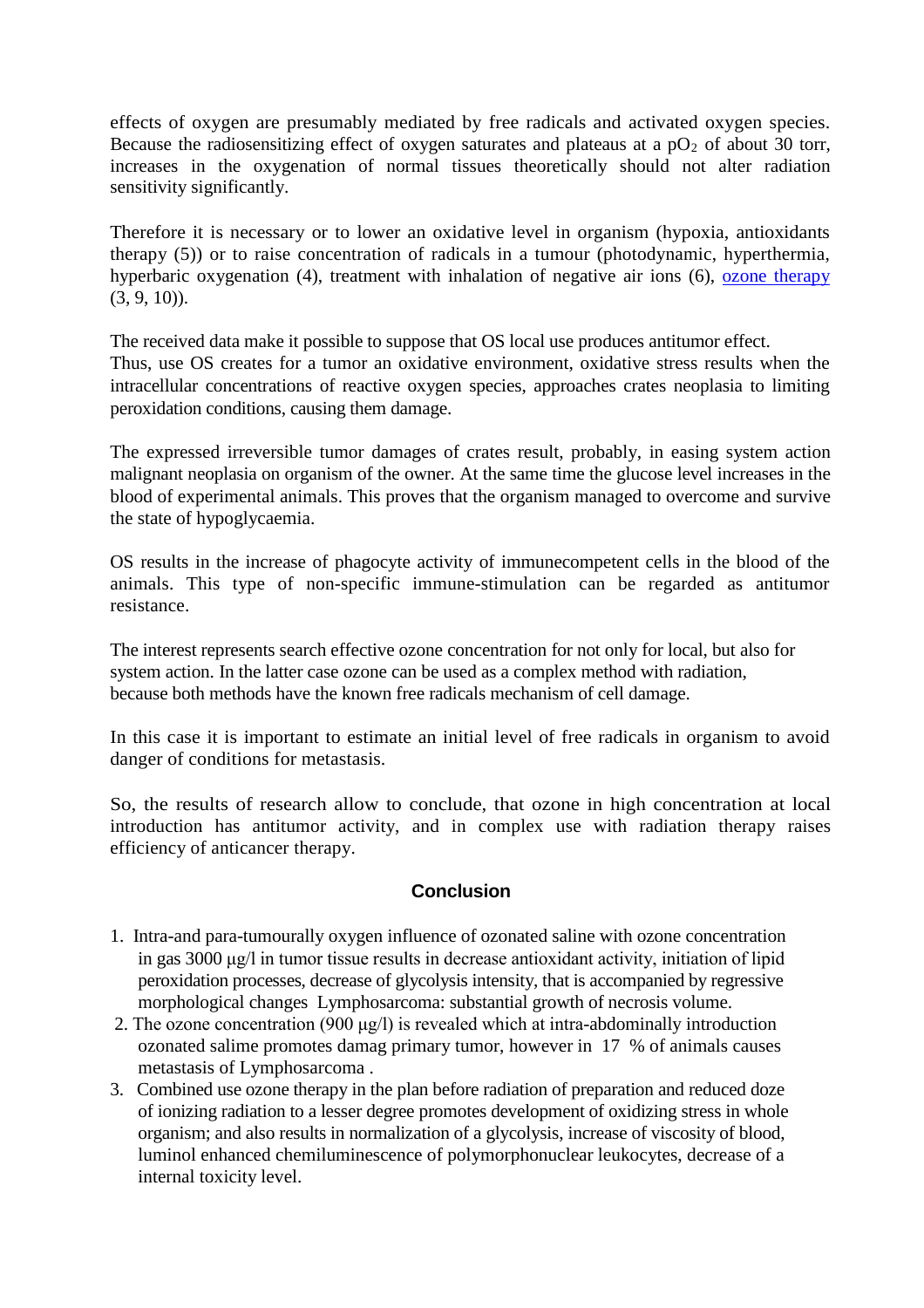effects of oxygen are presumably mediated by free radicals and activated oxygen species. Because the radiosensitizing effect of oxygen saturates and plateaus at a  $pO<sub>2</sub>$  of about 30 torr, increases in the oxygenation of normal tissues theoretically should not alter radiation sensitivity significantly.

Therefore it is necessary or to lower an oxidative level in organism (hypoxia, antioxidants therapy (5)) or to raise concentration of radicals in a tumour (photodynamic, hyperthermia, hyperbaric oxygenation (4), treatment with inhalation of negative air ions (6), [ozone therapy](http://www.austinozone.com/)  $(3, 9, 10)$ .

The received data make it possible to suppose that OS local use produces antitumor effect. Thus, use OS creates for a tumor an oxidative environment, oxidative stress results when the intracellular concentrations of reactive oxygen species, approaches crates neoplasia to limiting peroxidation conditions, causing them damage.

The expressed irreversible tumor damages of crates result, probably, in easing system action malignant neoplasia on organism of the owner. At the same time the glucose level increases in the blood of experimental animals. This proves that the organism managed to overcome and survive the state of hypoglycaemia.

OS results in the increase of phagocyte activity of immunecompetent cells in the blood of the animals. This type of non-specific immune-stimulation can be regarded as antitumor resistance.

The interest represents search effective ozone concentration for not only for local, but also for system action. In the latter case ozone can be used as a complex method with radiation, because both methods have the known free radicals mechanism of cell damage.

In this case it is important to estimate an initial level of free radicals in organism to avoid danger of conditions for metastasis.

So, the results of research allow to conclude, that ozone in high concentration at local introduction has antitumor activity, and in complex use with radiation therapy raises efficiency of anticancer therapy.

# **Conclusion**

- 1. Intra-and para-tumourally oxygen influence of ozonated saline with ozone concentration in gas 3000 μg/l in tumor tissue results in decrease antioxidant activity, initiation of lipid peroxidation processes, decrease of glycolysis intensity, that is accompanied by regressive morphological changes Lymphosarcoma: substantial growth of necrosis volume.
- 2. The ozone concentration (900 μg/l) is revealed which at intra-abdominally introduction ozonated salime promotes damag primary tumor, however in 17 % of animals causes metastasis of Lymphosarcoma .
- 3. Combined use ozone therapy in the plan before radiation of preparation and reduced doze of ionizing radiation to a lesser degree promotes development of oxidizing stress in whole organism; and also results in normalization of a glycolysis, increase of viscosity of blood, luminol enhanced chemiluminescence of polymorphonuclear leukocytes, decrease of a internal toxicity level.